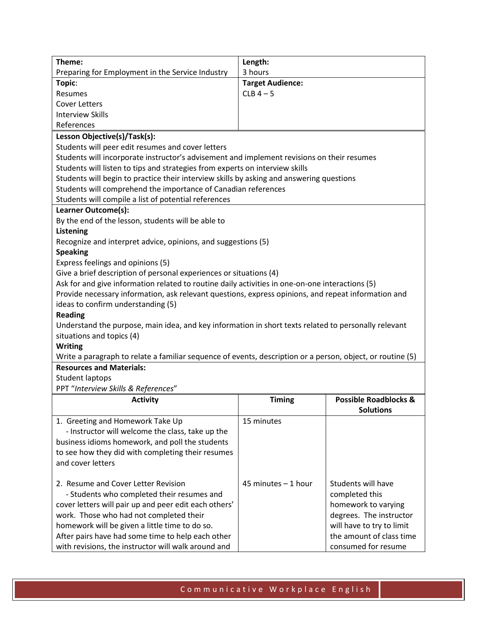| Theme:                                                                                                     | Length:                 |                                  |  |
|------------------------------------------------------------------------------------------------------------|-------------------------|----------------------------------|--|
| Preparing for Employment in the Service Industry                                                           | 3 hours                 |                                  |  |
| Topic:                                                                                                     | <b>Target Audience:</b> |                                  |  |
| Resumes                                                                                                    | $CLB$ 4 - 5             |                                  |  |
| <b>Cover Letters</b>                                                                                       |                         |                                  |  |
| <b>Interview Skills</b>                                                                                    |                         |                                  |  |
| References                                                                                                 |                         |                                  |  |
| Lesson Objective(s)/Task(s):                                                                               |                         |                                  |  |
| Students will peer edit resumes and cover letters                                                          |                         |                                  |  |
| Students will incorporate instructor's advisement and implement revisions on their resumes                 |                         |                                  |  |
| Students will listen to tips and strategies from experts on interview skills                               |                         |                                  |  |
| Students will begin to practice their interview skills by asking and answering questions                   |                         |                                  |  |
| Students will comprehend the importance of Canadian references                                             |                         |                                  |  |
| Students will compile a list of potential references                                                       |                         |                                  |  |
| Learner Outcome(s):                                                                                        |                         |                                  |  |
| By the end of the lesson, students will be able to                                                         |                         |                                  |  |
| <b>Listening</b>                                                                                           |                         |                                  |  |
| Recognize and interpret advice, opinions, and suggestions (5)                                              |                         |                                  |  |
| <b>Speaking</b>                                                                                            |                         |                                  |  |
| Express feelings and opinions (5)                                                                          |                         |                                  |  |
| Give a brief description of personal experiences or situations (4)                                         |                         |                                  |  |
| Ask for and give information related to routine daily activities in one-on-one interactions (5)            |                         |                                  |  |
| Provide necessary information, ask relevant questions, express opinions, and repeat information and        |                         |                                  |  |
| ideas to confirm understanding (5)                                                                         |                         |                                  |  |
| <b>Reading</b>                                                                                             |                         |                                  |  |
| Understand the purpose, main idea, and key information in short texts related to personally relevant       |                         |                                  |  |
| situations and topics (4)                                                                                  |                         |                                  |  |
| <b>Writing</b>                                                                                             |                         |                                  |  |
| Write a paragraph to relate a familiar sequence of events, description or a person, object, or routine (5) |                         |                                  |  |
| <b>Resources and Materials:</b>                                                                            |                         |                                  |  |
| <b>Student laptops</b>                                                                                     |                         |                                  |  |
| PPT "Interview Skills & References"                                                                        |                         |                                  |  |
| <b>Activity</b>                                                                                            | <b>Timing</b>           | <b>Possible Roadblocks &amp;</b> |  |
|                                                                                                            |                         | <b>Solutions</b>                 |  |
| 1. Greeting and Homework Take Up                                                                           | 15 minutes              |                                  |  |
| - Instructor will welcome the class, take up the                                                           |                         |                                  |  |
| business idioms homework, and poll the students                                                            |                         |                                  |  |
| to see how they did with completing their resumes                                                          |                         |                                  |  |
| and cover letters                                                                                          |                         |                                  |  |
|                                                                                                            |                         |                                  |  |
| 2. Resume and Cover Letter Revision                                                                        | 45 minutes - 1 hour     | Students will have               |  |
| - Students who completed their resumes and                                                                 |                         | completed this                   |  |
| cover letters will pair up and peer edit each others'                                                      |                         | homework to varying              |  |
| work. Those who had not completed their                                                                    |                         | degrees. The instructor          |  |
| homework will be given a little time to do so.                                                             |                         | will have to try to limit        |  |

the amount of class time consumed for resume

After pairs have had some time to help each other with revisions, the instructor will walk around and